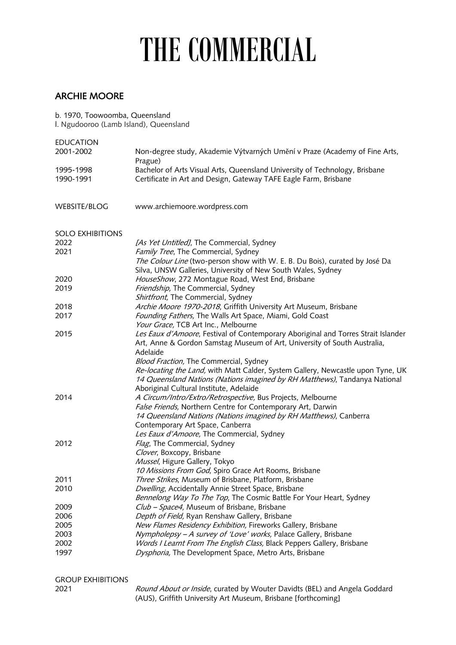## THE COMMERCIAL

## ARCHIE MOORE

b. 1970, Toowoomba, Queensland

l. Ngudooroo (Lamb Island), Queensland

| <b>EDUCATION</b>         |                                                                                                                                             |
|--------------------------|---------------------------------------------------------------------------------------------------------------------------------------------|
| 2001-2002                | Non-degree study, Akademie Výtvarných Umění v Praze (Academy of Fine Arts,<br>Prague)                                                       |
| 1995-1998                | Bachelor of Arts Visual Arts, Queensland University of Technology, Brisbane                                                                 |
| 1990-1991                | Certificate in Art and Design, Gateway TAFE Eagle Farm, Brisbane                                                                            |
| <b>WEBSITE/BLOG</b>      | www.archiemoore.wordpress.com                                                                                                               |
| <b>SOLO EXHIBITIONS</b>  |                                                                                                                                             |
| 2022                     | [As Yet Untitled], The Commercial, Sydney                                                                                                   |
| 2021                     | Family Tree, The Commercial, Sydney                                                                                                         |
|                          | The Colour Line (two-person show with W. E. B. Du Bois), curated by José Da<br>Silva, UNSW Galleries, University of New South Wales, Sydney |
| 2020                     | HouseShow, 272 Montague Road, West End, Brisbane                                                                                            |
| 2019                     | Friendship, The Commercial, Sydney                                                                                                          |
|                          | Shirtfront, The Commercial, Sydney                                                                                                          |
| 2018                     | Archie Moore 1970-2018, Griffith University Art Museum, Brisbane                                                                            |
| 2017                     | Founding Fathers, The Walls Art Space, Miami, Gold Coast                                                                                    |
|                          | Your Grace, TCB Art Inc., Melbourne                                                                                                         |
| 2015                     | Les Eaux d'Amoore, Festival of Contemporary Aboriginal and Torres Strait Islander                                                           |
|                          | Art, Anne & Gordon Samstag Museum of Art, University of South Australia,                                                                    |
|                          | Adelaide                                                                                                                                    |
|                          | <b>Blood Fraction, The Commercial, Sydney</b>                                                                                               |
|                          | Re-locating the Land, with Matt Calder, System Gallery, Newcastle upon Tyne, UK                                                             |
|                          | 14 Queensland Nations (Nations imagined by RH Matthews), Tandanya National                                                                  |
|                          | Aboriginal Cultural Institute, Adelaide                                                                                                     |
| 2014                     | A Circum/Intro/Extro/Retrospective, Bus Projects, Melbourne                                                                                 |
|                          | False Friends, Northern Centre for Contemporary Art, Darwin                                                                                 |
|                          | 14 Queensland Nations (Nations imagined by RH Matthews), Canberra                                                                           |
|                          | Contemporary Art Space, Canberra                                                                                                            |
|                          | Les Eaux d'Amoore, The Commercial, Sydney                                                                                                   |
| 2012                     | Flag, The Commercial, Sydney                                                                                                                |
|                          | Clover, Boxcopy, Brisbane                                                                                                                   |
|                          | Mussel, Higure Gallery, Tokyo                                                                                                               |
|                          | 10 Missions From God, Spiro Grace Art Rooms, Brisbane                                                                                       |
| 2011                     | Three Strikes, Museum of Brisbane, Platform, Brisbane                                                                                       |
| 2010                     | Dwelling, Accidentally Annie Street Space, Brisbane                                                                                         |
|                          | Bennelong Way To The Top, The Cosmic Battle For Your Heart, Sydney                                                                          |
| 2009                     | Club - Space4, Museum of Brisbane, Brisbane                                                                                                 |
| 2006                     | Depth of Field, Ryan Renshaw Gallery, Brisbane                                                                                              |
| 2005                     | New Flames Residency Exhibition, Fireworks Gallery, Brisbane                                                                                |
| 2003                     | Nympholepsy - A survey of 'Love' works, Palace Gallery, Brisbane                                                                            |
| 2002                     | Words I Learnt From The English Class, Black Peppers Gallery, Brisbane                                                                      |
| 1997                     | Dysphoria, The Development Space, Metro Arts, Brisbane                                                                                      |
|                          |                                                                                                                                             |
| <b>GROUP EXHIBITIONS</b> |                                                                                                                                             |
|                          |                                                                                                                                             |

2021 Round About or Inside, curated by Wouter Davidts (BEL) and Angela Goddard (AUS), Griffith University Art Museum, Brisbane [forthcoming]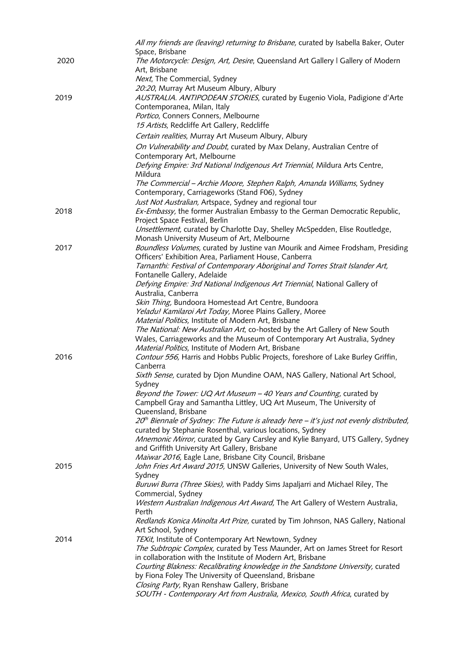|      | All my friends are (leaving) returning to Brisbane, curated by Isabella Baker, Outer                |
|------|-----------------------------------------------------------------------------------------------------|
|      | Space, Brisbane                                                                                     |
| 2020 | The Motorcycle: Design, Art, Desire, Queensland Art Gallery   Gallery of Modern                     |
|      | Art, Brisbane                                                                                       |
|      | Next, The Commercial, Sydney                                                                        |
|      | 20:20, Murray Art Museum Albury, Albury                                                             |
| 2019 | AUSTRALIA. ANTIPODEAN STORIES, curated by Eugenio Viola, Padigione d'Arte                           |
|      | Contemporanea, Milan, Italy                                                                         |
|      | Portico, Conners Conners, Melbourne                                                                 |
|      | 15 Artists, Redcliffe Art Gallery, Redcliffe                                                        |
|      | Certain realities, Murray Art Museum Albury, Albury                                                 |
|      |                                                                                                     |
|      | On Vulnerability and Doubt, curated by Max Delany, Australian Centre of                             |
|      | Contemporary Art, Melbourne                                                                         |
|      | Defying Empire: 3rd National Indigenous Art Triennial, Mildura Arts Centre,                         |
|      | Mildura                                                                                             |
|      | The Commercial - Archie Moore, Stephen Ralph, Amanda Williams, Sydney                               |
|      | Contemporary, Carriageworks (Stand F06), Sydney                                                     |
|      | Just Not Australian, Artspace, Sydney and regional tour                                             |
| 2018 | Ex-Embassy, the former Australian Embassy to the German Democratic Republic,                        |
|      | Project Space Festival, Berlin                                                                      |
|      | Unsettlement, curated by Charlotte Day, Shelley McSpedden, Elise Routledge,                         |
|      | Monash University Museum of Art, Melbourne                                                          |
| 2017 | Boundless Volumes, curated by Justine van Mourik and Aimee Frodsham, Presiding                      |
|      | Officers' Exhibition Area, Parliament House, Canberra                                               |
|      | Tarnanthi: Festival of Contemporary Aboriginal and Torres Strait Islander Art,                      |
|      | Fontanelle Gallery, Adelaide                                                                        |
|      | Defying Empire: 3rd National Indigenous Art Triennial, National Gallery of                          |
|      | Australia, Canberra                                                                                 |
|      | Skin Thing, Bundoora Homestead Art Centre, Bundoora                                                 |
|      | Yeladu! Kamilaroi Art Today, Moree Plains Gallery, Moree                                            |
|      | Material Politics, Institute of Modern Art, Brisbane                                                |
|      | The National: New Australian Art, co-hosted by the Art Gallery of New South                         |
|      | Wales, Carriageworks and the Museum of Contemporary Art Australia, Sydney                           |
|      | Material Politics, Institute of Modern Art, Brisbane                                                |
| 2016 | Contour 556, Harris and Hobbs Public Projects, foreshore of Lake Burley Griffin,                    |
|      | Canberra                                                                                            |
|      | Sixth Sense, curated by Djon Mundine OAM, NAS Gallery, National Art School,                         |
|      | Sydney                                                                                              |
|      | Beyond the Tower: UQ Art Museum - 40 Years and Counting, curated by                                 |
|      | Campbell Gray and Samantha Littley, UQ Art Museum, The University of                                |
|      | Queensland, Brisbane                                                                                |
|      | 20 <sup>th</sup> Biennale of Sydney: The Future is already here - it's just not evenly distributed, |
|      | curated by Stephanie Rosenthal, various locations, Sydney                                           |
|      | Mnemonic Mirror, curated by Gary Carsley and Kylie Banyard, UTS Gallery, Sydney                     |
|      | and Griffith University Art Gallery, Brisbane                                                       |
|      | Maiwar 2016, Eagle Lane, Brisbane City Council, Brisbane                                            |
| 2015 | John Fries Art Award 2015, UNSW Galleries, University of New South Wales,                           |
|      | Sydney                                                                                              |
|      | Buruwi Burra (Three Skies), with Paddy Sims Japaljarri and Michael Riley, The                       |
|      | Commercial, Sydney                                                                                  |
|      | Western Australian Indigenous Art Award, The Art Gallery of Western Australia,                      |
|      | Perth                                                                                               |
|      | Redlands Konica Minolta Art Prize, curated by Tim Johnson, NAS Gallery, National                    |
|      | Art School, Sydney                                                                                  |
| 2014 | TEXit, Institute of Contemporary Art Newtown, Sydney                                                |
|      | The Subtropic Complex, curated by Tess Maunder, Art on James Street for Resort                      |
|      | in collaboration with the Institute of Modern Art, Brisbane                                         |
|      | Courting Blakness: Recalibrating knowledge in the Sandstone University, curated                     |
|      | by Fiona Foley The University of Queensland, Brisbane                                               |
|      | Closing Party, Ryan Renshaw Gallery, Brisbane                                                       |
|      | SOUTH - Contemporary Art from Australia, Mexico, South Africa, curated by                           |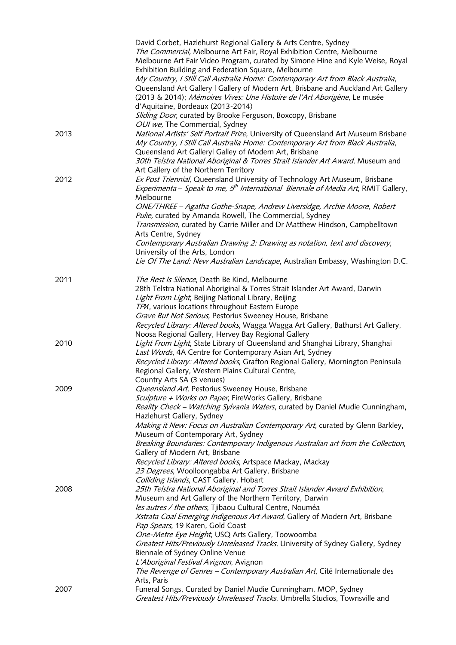| 2007 | Arts, Paris<br>Funeral Songs, Curated by Daniel Mudie Cunningham, MOP, Sydney<br>Greatest Hits/Previously Unreleased Tracks, Umbrella Studios, Townsville and                                                                                                                                                                                                                                                         |
|------|-----------------------------------------------------------------------------------------------------------------------------------------------------------------------------------------------------------------------------------------------------------------------------------------------------------------------------------------------------------------------------------------------------------------------|
|      | Xstrata Coal Emerging Indigenous Art Award, Gallery of Modern Art, Brisbane<br>Pap Spears, 19 Karen, Gold Coast<br>One-Metre Eye Height, USQ Arts Gallery, Toowoomba<br>Greatest Hits/Previously Unreleased Tracks, University of Sydney Gallery, Sydney<br>Biennale of Sydney Online Venue<br>L'Aboriginal Festival Avignon, Avignon<br>The Revenge of Genres - Contemporary Australian Art, Cité Internationale des |
| 2008 | 25th Telstra National Aboriginal and Torres Strait Islander Award Exhibition,<br>Museum and Art Gallery of the Northern Territory, Darwin<br>les autres / the others, Tjibaou Cultural Centre, Nouméa                                                                                                                                                                                                                 |
|      | Museum of Contemporary Art, Sydney<br>Breaking Boundaries: Contemporary Indigenous Australian art from the Collection,<br>Gallery of Modern Art, Brisbane<br>Recycled Library: Altered books, Artspace Mackay, Mackay<br>23 Degrees, Woolloongabba Art Gallery, Brisbane<br>Colliding Islands, CAST Gallery, Hobart                                                                                                   |
| 2009 | Queensland Art, Pestorius Sweeney House, Brisbane<br>Sculpture + Works on Paper, FireWorks Gallery, Brisbane<br>Reality Check - Watching Sylvania Waters, curated by Daniel Mudie Cunningham,<br>Hazlehurst Gallery, Sydney<br>Making it New: Focus on Australian Contemporary Art, curated by Glenn Barkley,                                                                                                         |
|      | Last Words, 4A Centre for Contemporary Asian Art, Sydney<br>Recycled Library: Altered books, Grafton Regional Gallery, Mornington Peninsula<br>Regional Gallery, Western Plains Cultural Centre,<br>Country Arts SA (3 venues)                                                                                                                                                                                        |
| 2010 | TPH, various locations throughout Eastern Europe<br>Grave But Not Serious, Pestorius Sweeney House, Brisbane<br>Recycled Library: Altered books, Wagga Wagga Art Gallery, Bathurst Art Gallery,<br>Noosa Regional Gallery, Hervey Bay Regional Gallery<br>Light From Light, State Library of Queensland and Shanghai Library, Shanghai                                                                                |
| 2011 | The Rest Is Silence, Death Be Kind, Melbourne<br>28th Telstra National Aboriginal & Torres Strait Islander Art Award, Darwin<br>Light From Light, Beijing National Library, Beijing                                                                                                                                                                                                                                   |
|      | Arts Centre, Sydney<br>Contemporary Australian Drawing 2: Drawing as notation, text and discovery,<br>University of the Arts, London<br>Lie Of The Land: New Australian Landscape, Australian Embassy, Washington D.C.                                                                                                                                                                                                |
|      | Melbourne<br>ONE/THREE - Agatha Gothe-Snape, Andrew Liversidge, Archie Moore, Robert<br>Pulie, curated by Amanda Rowell, The Commercial, Sydney<br>Transmission, curated by Carrie Miller and Dr Matthew Hindson, Campbelltown                                                                                                                                                                                        |
| 2012 | Queensland Art Galleryl Galley of Modern Art, Brisbane<br>30th Telstra National Aboriginal & Torres Strait Islander Art Award, Museum and<br>Art Gallery of the Northern Territory<br>Ex Post Triennial, Queensland University of Technology Art Museum, Brisbane<br><i>Experimenta – Speak to me, <math>5th</math> International Biennale of Media Art, RMIT Gallery,</i>                                            |
| 2013 | OUI we, The Commercial, Sydney<br>National Artists' Self Portrait Prize, University of Queensland Art Museum Brisbane<br>My Country, I Still Call Australia Home: Contemporary Art from Black Australia,                                                                                                                                                                                                              |
|      | Queensland Art Gallery   Gallery of Modern Art, Brisbane and Auckland Art Gallery<br>(2013 & 2014); Mémoires Vives: Une Histoire de l'Art Aborigène, Le musée<br>d'Aquitaine, Bordeaux (2013-2014)<br>Sliding Door, curated by Brooke Ferguson, Boxcopy, Brisbane                                                                                                                                                     |
|      | The Commercial, Melbourne Art Fair, Royal Exhibition Centre, Melbourne<br>Melbourne Art Fair Video Program, curated by Simone Hine and Kyle Weise, Royal<br>Exhibition Building and Federation Square, Melbourne<br>My Country, I Still Call Australia Home: Contemporary Art from Black Australia,                                                                                                                   |
|      | David Corbet, Hazlehurst Regional Gallery & Arts Centre, Sydney                                                                                                                                                                                                                                                                                                                                                       |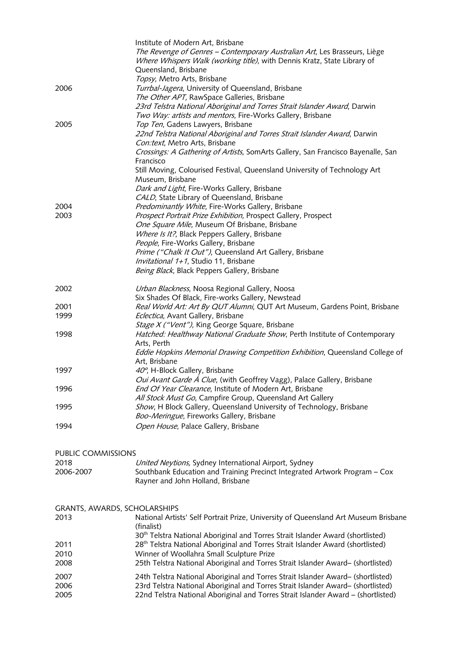|                              | Institute of Modern Art, Brisbane                                                           |
|------------------------------|---------------------------------------------------------------------------------------------|
|                              | The Revenge of Genres - Contemporary Australian Art, Les Brasseurs, Liège                   |
|                              | Where Whispers Walk (working title), with Dennis Kratz, State Library of                    |
|                              | Queensland, Brisbane                                                                        |
|                              | Topsy, Metro Arts, Brisbane                                                                 |
| 2006                         | Turrbal-Jagera, University of Queensland, Brisbane                                          |
|                              | The Other APT, RawSpace Galleries, Brisbane                                                 |
|                              | 23rd Telstra National Aboriginal and Torres Strait Islander Award, Darwin                   |
|                              | Two Way: artists and mentors, Fire-Works Gallery, Brisbane                                  |
| 2005                         | Top Ten, Gadens Lawyers, Brisbane                                                           |
|                              | 22nd Telstra National Aboriginal and Torres Strait Islander Award, Darwin                   |
|                              | Con:text, Metro Arts, Brisbane                                                              |
|                              | Crossings: A Gathering of Artists, SomArts Gallery, San Francisco Bayenalle, San            |
|                              | Francisco                                                                                   |
|                              | Still Moving, Colourised Festival, Queensland University of Technology Art                  |
|                              | Museum, Brisbane                                                                            |
|                              |                                                                                             |
|                              | Dark and Light, Fire-Works Gallery, Brisbane                                                |
|                              | CALD, State Library of Queensland, Brisbane                                                 |
| 2004                         | Predominantly White, Fire-Works Gallery, Brisbane                                           |
| 2003                         | Prospect Portrait Prize Exhibition, Prospect Gallery, Prospect                              |
|                              | One Square Mile, Museum Of Brisbane, Brisbane                                               |
|                              | Where Is It?, Black Peppers Gallery, Brisbane                                               |
|                              | People, Fire-Works Gallery, Brisbane                                                        |
|                              | Prime ("Chalk It Out"), Queensland Art Gallery, Brisbane                                    |
|                              | Invitational 1+1, Studio 11, Brisbane                                                       |
|                              | Being Black, Black Peppers Gallery, Brisbane                                                |
| 2002                         | Urban Blackness, Noosa Regional Gallery, Noosa                                              |
|                              | Six Shades Of Black, Fire-works Gallery, Newstead                                           |
| 2001                         | Real World Art: Art By QUT Alumni, QUT Art Museum, Gardens Point, Brisbane                  |
| 1999                         | Eclectica, Avant Gallery, Brisbane                                                          |
|                              | Stage X ("Vent"), King George Square, Brisbane                                              |
| 1998                         | Hatched: Healthway National Graduate Show, Perth Institute of Contemporary                  |
|                              | Arts, Perth                                                                                 |
|                              | Eddie Hopkins Memorial Drawing Competition Exhibition, Queensland College of                |
|                              | Art, Brisbane                                                                               |
| 1997                         | 40°, H-Block Gallery, Brisbane                                                              |
|                              | Oui Avant Garde Á Clue, (with Geoffrey Vagg), Palace Gallery, Brisbane                      |
|                              |                                                                                             |
| 1996                         | End Of Year Clearance, Institute of Modern Art, Brisbane                                    |
|                              | All Stock Must Go, Campfire Group, Queensland Art Gallery                                   |
| 1995                         | Show, H Block Gallery, Queensland University of Technology, Brisbane                        |
|                              | Boo-Meringue, Fireworks Gallery, Brisbane                                                   |
| 1994                         | Open House, Palace Gallery, Brisbane                                                        |
|                              |                                                                                             |
| PUBLIC COMMISSIONS           |                                                                                             |
| 2018                         | United Neytions, Sydney International Airport, Sydney                                       |
| 2006-2007                    | Southbank Education and Training Precinct Integrated Artwork Program - Cox                  |
|                              | Rayner and John Holland, Brisbane                                                           |
|                              |                                                                                             |
| GRANTS, AWARDS, SCHOLARSHIPS |                                                                                             |
| 2013                         | National Artists' Self Portrait Prize, University of Queensland Art Museum Brisbane         |
|                              | (finalist)                                                                                  |
|                              | 30 <sup>th</sup> Telstra National Aboriginal and Torres Strait Islander Award (shortlisted) |
| 2011                         | 28 <sup>th</sup> Telstra National Aboriginal and Torres Strait Islander Award (shortlisted) |
| 2010                         | Winner of Woollahra Small Sculpture Prize                                                   |
| 2008                         | 25th Telstra National Aboriginal and Torres Strait Islander Award- (shortlisted)            |
|                              |                                                                                             |
| 2007                         | 24th Telstra National Aboriginal and Torres Strait Islander Award- (shortlisted)            |
| 2006                         | 23rd Telstra National Aboriginal and Torres Strait Islander Award- (shortlisted)            |
| 2005                         | 22nd Telstra National Aboriginal and Torres Strait Islander Award - (shortlisted)           |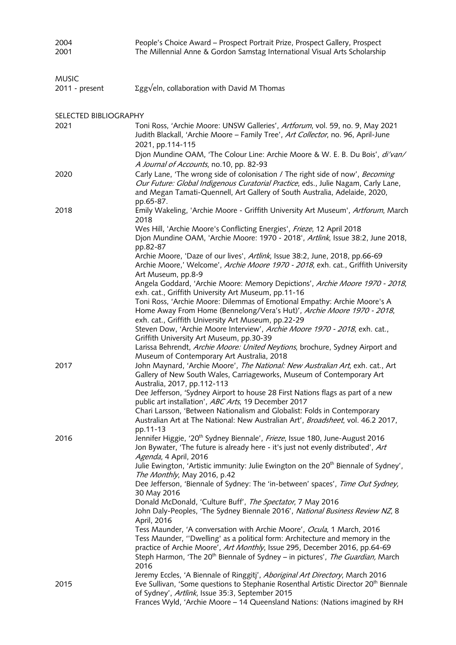| 2004<br>2001          | People's Choice Award - Prospect Portrait Prize, Prospect Gallery, Prospect<br>The Millennial Anne & Gordon Samstag International Visual Arts Scholarship                                                                                                      |
|-----------------------|----------------------------------------------------------------------------------------------------------------------------------------------------------------------------------------------------------------------------------------------------------------|
|                       |                                                                                                                                                                                                                                                                |
| <b>MUSIC</b>          |                                                                                                                                                                                                                                                                |
| 2011 - present        | Σgg√eln, collaboration with David M Thomas                                                                                                                                                                                                                     |
|                       |                                                                                                                                                                                                                                                                |
| SELECTED BIBLIOGRAPHY |                                                                                                                                                                                                                                                                |
| 2021                  | Toni Ross, 'Archie Moore: UNSW Galleries', Artforum, vol. 59, no. 9, May 2021<br>Judith Blackall, 'Archie Moore - Family Tree', Art Collector, no. 96, April-June<br>2021, pp.114-115                                                                          |
|                       | Djon Mundine OAM, 'The Colour Line: Archie Moore & W. E. B. Du Bois', di'van/<br>A Journal of Accounts, no.10, pp. 82-93                                                                                                                                       |
| 2020                  | Carly Lane, 'The wrong side of colonisation / The right side of now', Becoming<br>Our Future: Global Indigenous Curatorial Practice, eds., Julie Nagam, Carly Lane,<br>and Megan Tamati-Quennell, Art Gallery of South Australia, Adelaide, 2020,<br>pp.65-87. |
| 2018                  | Emily Wakeling, 'Archie Moore - Griffith University Art Museum', Artforum, March<br>2018                                                                                                                                                                       |
|                       | Wes Hill, 'Archie Moore's Conflicting Energies', Frieze, 12 April 2018<br>Djon Mundine OAM, 'Archie Moore: 1970 - 2018', Artlink, Issue 38:2, June 2018,<br>pp.82-87                                                                                           |
|                       | Archie Moore, 'Daze of our lives', Artlink, Issue 38:2, June, 2018, pp.66-69<br>Archie Moore,' Welcome', Archie Moore 1970 - 2018, exh. cat., Griffith University<br>Art Museum, pp.8-9                                                                        |
|                       | Angela Goddard, 'Archie Moore: Memory Depictions', Archie Moore 1970 - 2018,<br>exh. cat., Griffith University Art Museum, pp.11-16                                                                                                                            |
|                       | Toni Ross, 'Archie Moore: Dilemmas of Emotional Empathy: Archie Moore's A<br>Home Away From Home (Bennelong/Vera's Hut)', Archie Moore 1970 - 2018,<br>exh. cat., Griffith University Art Museum, pp.22-29                                                     |
|                       | Steven Dow, 'Archie Moore Interview', Archie Moore 1970 - 2018, exh. cat.,<br>Griffith University Art Museum, pp.30-39                                                                                                                                         |
|                       | Larissa Behrendt, Archie Moore: United Neytions, brochure, Sydney Airport and<br>Museum of Contemporary Art Australia, 2018                                                                                                                                    |
| 2017                  | John Maynard, 'Archie Moore', The National: New Australian Art, exh. cat., Art<br>Gallery of New South Wales, Carriageworks, Museum of Contemporary Art<br>Australia, 2017, pp.112-113                                                                         |
|                       | Dee Jefferson, 'Sydney Airport to house 28 First Nations flags as part of a new<br>public art installation', ABC Arts, 19 December 2017                                                                                                                        |
|                       | Chari Larsson, 'Between Nationalism and Globalist: Folds in Contemporary<br>Australian Art at The National: New Australian Art', Broadsheet, vol. 46.2 2017,<br>pp.11-13                                                                                       |
| 2016                  | Jennifer Higgie, '20 <sup>th</sup> Sydney Biennale', Frieze, Issue 180, June-August 2016<br>Jon Bywater, 'The future is already here - it's just not evenly distributed', Art                                                                                  |
|                       | Agenda, 4 April, 2016<br>Julie Ewington, 'Artistic immunity: Julie Ewington on the 20 <sup>th</sup> Biennale of Sydney',<br>The Monthly, May 2016, p.42                                                                                                        |
|                       | Dee Jefferson, 'Biennale of Sydney: The 'in-between' spaces', Time Out Sydney,<br>30 May 2016                                                                                                                                                                  |
|                       | Donald McDonald, 'Culture Buff', The Spectator, 7 May 2016<br>John Daly-Peoples, 'The Sydney Biennale 2016', National Business Review NZ, 8                                                                                                                    |
|                       | April, 2016<br>Tess Maunder, 'A conversation with Archie Moore', Ocula, 1 March, 2016<br>Tess Maunder, "Dwelling' as a political form: Architecture and memory in the<br>practice of Archie Moore', Art Monthly, Issue 295, December 2016, pp.64-69            |
|                       | Steph Harmon, 'The 20 <sup>th</sup> Biennale of Sydney - in pictures', The Guardian, March<br>2016                                                                                                                                                             |
| 2015                  | Jeremy Eccles, 'A Biennale of Ringgitj', Aboriginal Art Directory, March 2016<br>Eve Sullivan, 'Some questions to Stephanie Rosenthal Artistic Director 20 <sup>th</sup> Biennale<br>of Sydney', Artlink, Issue 35:3, September 2015                           |
|                       | Frances Wyld, 'Archie Moore - 14 Queensland Nations: (Nations imagined by RH                                                                                                                                                                                   |